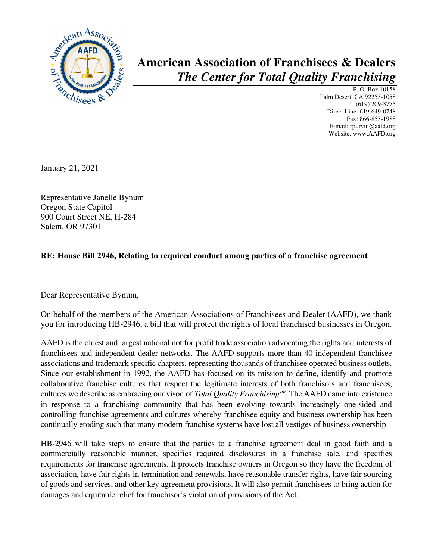

## **American Association of Franchisees & Dealers** *The Center for Total Quality Franchising*

P. O. Box 10158 Palm Desert, CA 92255-1058 (619) 209-3775 Direct Line: 619-649-0748 Fax: 866-855-1988 E-mail: rpurvin@aafd.org Website: www.AAFD.org

January 21, 2021

Representative Janelle Bynum Oregon State Capitol 900 Court Street NE, H-284 Salem, OR 97301

## **RE: House Bill 2946, Relating to required conduct among parties of a franchise agreement**

Dear Representative Bynum,

On behalf of the members of the American Associations of Franchisees and Dealer (AAFD), we thank you for introducing HB-2946, a bill that will protect the rights of local franchised businesses in Oregon.

AAFD is the oldest and largest national not for profit trade association advocating the rights and interests of franchisees and independent dealer networks. The AAFD supports more than 40 independent franchisee associations and trademark specific chapters, representing thousands of franchisee operated business outlets. Since our establishment in 1992, the AAFD has focused on its mission to define, identify and promote collaborative franchise cultures that respect the legitimate interests of both franchisors and franchisees, cultures we describe as embracing our vison of *Total Quality Franchisingsm*. The AAFD came into existence in response to a franchising community that has been evolving towards increasingly one-sided and controlling franchise agreements and cultures whereby franchisee equity and business ownership has been continually eroding such that many modern franchise systems have lost all vestiges of business ownership.

HB-2946 will take steps to ensure that the parties to a franchise agreement deal in good faith and a commercially reasonable manner, specifies required disclosures in a franchise sale, and specifies requirements for franchise agreements. It protects franchise owners in Oregon so they have the freedom of association, have fair rights in termination and renewals, have reasonable transfer rights, have fair sourcing of goods and services, and other key agreement provisions. It will also permit franchisees to bring action for damages and equitable relief for franchisor's violation of provisions of the Act.